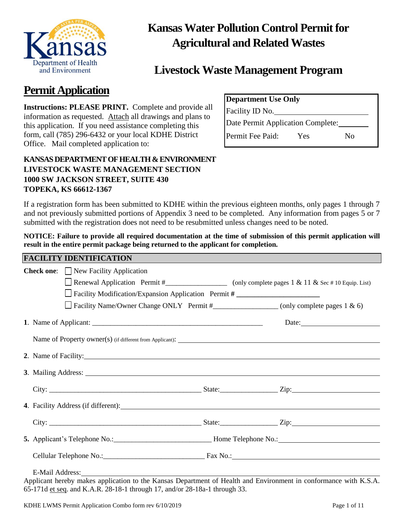

## **Kansas Water Pollution Control Permit for Agricultural and Related Wastes**

### **Livestock Waste Management Program**

## **Permit Application**

**Instructions: PLEASE PRINT.** Complete and provide all information as requested. Attach all drawings and plans to this application. If you need assistance completing this form, call (785) 296-6432 or your local KDHE District Office. Mail completed application to:

| <b>Department Use Only</b>        |     |    |  |  |
|-----------------------------------|-----|----|--|--|
| Facility ID No.                   |     |    |  |  |
| Date Permit Application Complete: |     |    |  |  |
| Permit Fee Paid:                  | Yes | Nο |  |  |

### **KANSAS DEPARTMENT OF HEALTH &ENVIRONMENT LIVESTOCK WASTE MANAGEMENT SECTION 1000 SW JACKSON STREET, SUITE 430 TOPEKA, KS 66612-1367**

If a registration form has been submitted to KDHE within the previous eighteen months, only pages 1 through 7 and not previously submitted portions of Appendix 3 need to be completed. Any information from pages 5 or 7 submitted with the registration does not need to be resubmitted unless changes need to be noted.

**NOTICE: Failure to provide all required documentation at the time of submission of this permit application will result in the entire permit package being returned to the applicant for completion.**

| <b>FACILITY IDENTIFICATION</b> |  |
|--------------------------------|--|
|                                |  |

| <b>Check one:</b> New Facility Application                                                                                                                                                                                     |                                                                                                         |
|--------------------------------------------------------------------------------------------------------------------------------------------------------------------------------------------------------------------------------|---------------------------------------------------------------------------------------------------------|
|                                                                                                                                                                                                                                | Renewal Application Permit #_______________________ (only complete pages 1 & 11 & Sec # 10 Equip. List) |
| Facility Modification/Expansion Application Permit #                                                                                                                                                                           |                                                                                                         |
|                                                                                                                                                                                                                                | Facility Name/Owner Change ONLY Permit #______________________ (only complete pages 1 & 6)              |
|                                                                                                                                                                                                                                |                                                                                                         |
|                                                                                                                                                                                                                                |                                                                                                         |
| 2. Name of Facility:                                                                                                                                                                                                           |                                                                                                         |
|                                                                                                                                                                                                                                |                                                                                                         |
|                                                                                                                                                                                                                                |                                                                                                         |
| 4. Facility Address (if different): 1. The contract of the contract of the contract of the contract of the contract of the contract of the contract of the contract of the contract of the contract of the contract of the con |                                                                                                         |
|                                                                                                                                                                                                                                |                                                                                                         |
|                                                                                                                                                                                                                                |                                                                                                         |
|                                                                                                                                                                                                                                |                                                                                                         |
|                                                                                                                                                                                                                                |                                                                                                         |

Applicant hereby makes application to the Kansas Department of Health and Environment in conformance with K.S.A. 65-171d et seq. and K.A.R. 28-18-1 through 17, and/or 28-18a-1 through 33.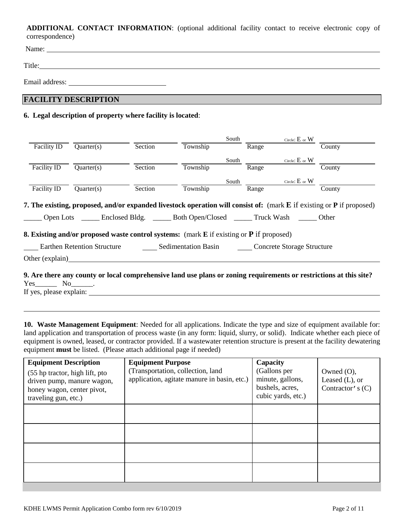**ADDITIONAL CONTACT INFORMATION**: (optional additional facility contact to receive electronic copy of correspondence)

Name:

Title: The contract of the contract of the contract of the contract of the contract of the contract of the contract of the contract of the contract of the contract of the contract of the contract of the contract of the con

Email address: Universe of the set of the set of the set of the set of the set of the set of the set of the set of the set of the set of the set of the set of the set of the set of the set of the set of the set of the set

### **FACILITY DESCRIPTION**

#### **6. Legal description of property where facility is located**:

|                 |                                    |         |                                                                                                               | South |       | Circle: $E$ or $W$         |                                                                                                                       |
|-----------------|------------------------------------|---------|---------------------------------------------------------------------------------------------------------------|-------|-------|----------------------------|-----------------------------------------------------------------------------------------------------------------------|
| Facility ID     | Quarter(s)                         | Section | Township                                                                                                      |       | Range |                            | County                                                                                                                |
|                 |                                    |         |                                                                                                               | South |       | Circle: $E$ or $W$         |                                                                                                                       |
| Facility ID     | Quarter(s)                         | Section | Township                                                                                                      |       | Range |                            | County                                                                                                                |
|                 |                                    |         |                                                                                                               | South |       | Circle: $E$ or $W$         |                                                                                                                       |
| Facility ID     | Quarter(s)                         | Section | Township                                                                                                      |       | Range |                            | County                                                                                                                |
|                 |                                    |         | Open Lots _______ Enclosed Bldg. _______ Both Open/Closed _______ Truck Wash ______ Other                     |       |       |                            | 7. The existing, proposed, and/or expanded livestock operation will consist of: (mark E if existing or P if proposed) |
|                 |                                    |         | <b>8. Existing and/or proposed waste control systems:</b> (mark <b>E</b> if existing or <b>P</b> if proposed) |       |       |                            |                                                                                                                       |
|                 |                                    |         |                                                                                                               |       |       |                            |                                                                                                                       |
|                 | <b>Earthen Retention Structure</b> |         | <b>Sedimentation Basin</b>                                                                                    |       |       | Concrete Storage Structure |                                                                                                                       |
| Other (explain) |                                    |         |                                                                                                               |       |       |                            |                                                                                                                       |
|                 |                                    |         |                                                                                                               |       |       |                            | 9. Are there any county or local comprehensive land use plans or zoning requirements or restrictions at this site?    |

Yes\_\_\_\_\_\_ No\_\_\_\_\_\_.

If yes, please explain:

**10. Waste Management Equipment**: Needed for all applications. Indicate the type and size of equipment available for: land application and transportation of process waste (in any form: liquid, slurry, or solid). Indicate whether each piece of equipment is owned, leased, or contractor provided. If a wastewater retention structure is present at the facility dewatering equipment **must** be listed. (Please attach additional page if needed)

| <b>Equipment Description</b><br>(55 hp tractor, high lift, pto<br>driven pump, manure wagon,<br>honey wagon, center pivot,<br>traveling gun, etc.) | <b>Equipment Purpose</b><br>(Transportation, collection, land<br>application, agitate manure in basin, etc.) | Capacity<br>(Gallons per<br>minute, gallons,<br>bushels, acres,<br>cubic yards, etc.) | Owned $(O)$ ,<br>Leased $(L)$ , or<br>Contractor's $(C)$ |
|----------------------------------------------------------------------------------------------------------------------------------------------------|--------------------------------------------------------------------------------------------------------------|---------------------------------------------------------------------------------------|----------------------------------------------------------|
|                                                                                                                                                    |                                                                                                              |                                                                                       |                                                          |
|                                                                                                                                                    |                                                                                                              |                                                                                       |                                                          |
|                                                                                                                                                    |                                                                                                              |                                                                                       |                                                          |
|                                                                                                                                                    |                                                                                                              |                                                                                       |                                                          |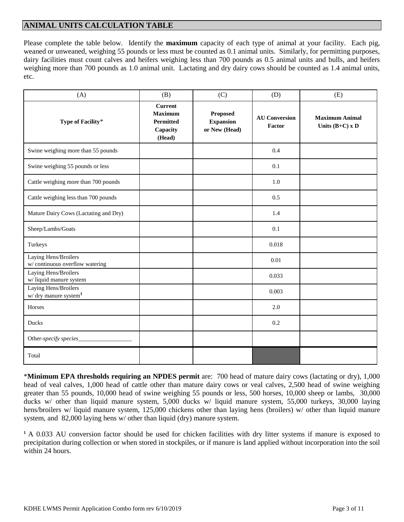#### **ANIMAL UNITS CALCULATION TABLE**

Please complete the table below. Identify the **maximum** capacity of each type of animal at your facility. Each pig, weaned or unweaned, weighing 55 pounds or less must be counted as 0.1 animal units. Similarly, for permitting purposes, dairy facilities must count calves and heifers weighing less than 700 pounds as 0.5 animal units and bulls, and heifers weighing more than 700 pounds as 1.0 animal unit. Lactating and dry dairy cows should be counted as 1.4 animal units, etc.

| (A)                                                       | (B)                                                                        | (C)                                                  | (D)                            | (E)                                        |
|-----------------------------------------------------------|----------------------------------------------------------------------------|------------------------------------------------------|--------------------------------|--------------------------------------------|
| Type of Facility*                                         | <b>Current</b><br><b>Maximum</b><br><b>Permitted</b><br>Capacity<br>(Head) | <b>Proposed</b><br><b>Expansion</b><br>or New (Head) | <b>AU Conversion</b><br>Factor | <b>Maximum Animal</b><br>Units $(B+C)$ x D |
| Swine weighing more than 55 pounds                        |                                                                            |                                                      | 0.4                            |                                            |
| Swine weighing 55 pounds or less                          |                                                                            |                                                      | 0.1                            |                                            |
| Cattle weighing more than 700 pounds                      |                                                                            |                                                      | 1.0                            |                                            |
| Cattle weighing less than 700 pounds                      |                                                                            |                                                      | 0.5                            |                                            |
| Mature Dairy Cows (Lactating and Dry)                     |                                                                            |                                                      | 1.4                            |                                            |
| Sheep/Lambs/Goats                                         |                                                                            |                                                      | 0.1                            |                                            |
| Turkeys                                                   |                                                                            |                                                      | 0.018                          |                                            |
| Laying Hens/Broilers<br>w/continuous overflow watering    |                                                                            |                                                      | 0.01                           |                                            |
| Laying Hens/Broilers<br>w/ liquid manure system           |                                                                            |                                                      | 0.033                          |                                            |
| Laying Hens/Broilers<br>w/ dry manure system <sup>1</sup> |                                                                            |                                                      | 0.003                          |                                            |
| Horses                                                    |                                                                            |                                                      | 2.0                            |                                            |
| <b>Ducks</b>                                              |                                                                            |                                                      | 0.2                            |                                            |
| Other-specify species_                                    |                                                                            |                                                      |                                |                                            |
| Total                                                     |                                                                            |                                                      |                                |                                            |

\***Minimum EPA thresholds requiring an NPDES permit** are: 700 head of mature dairy cows (lactating or dry), 1,000 head of veal calves, 1,000 head of cattle other than mature dairy cows or veal calves, 2,500 head of swine weighing greater than 55 pounds, 10,000 head of swine weighing 55 pounds or less, 500 horses, 10,000 sheep or lambs, 30,000 ducks w/ other than liquid manure system, 5,000 ducks w/ liquid manure system, 55,000 turkeys, 30,000 laying hens/broilers w/ liquid manure system, 125,000 chickens other than laying hens (broilers) w/ other than liquid manure system, and 82,000 laying hens w/ other than liquid (dry) manure system.

**<sup>1</sup>** A 0.033 AU conversion factor should be used for chicken facilities with dry litter systems if manure is exposed to precipitation during collection or when stored in stockpiles, or if manure is land applied without incorporation into the soil within 24 hours.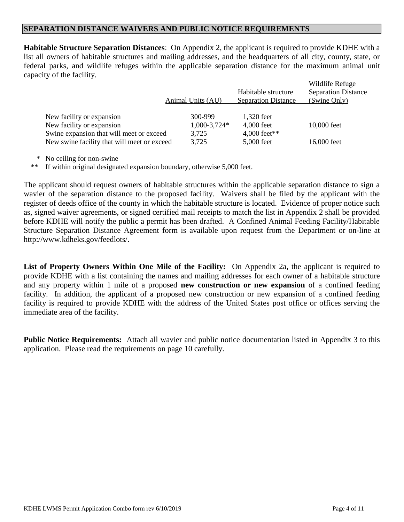#### **SEPARATION DISTANCE WAIVERS AND PUBLIC NOTICE REQUIREMENTS**

**Habitable Structure Separation Distances**: On Appendix 2, the applicant is required to provide KDHE with a list all owners of habitable structures and mailing addresses, and the headquarters of all city, county, state, or federal parks, and wildlife refuges within the applicable separation distance for the maximum animal unit capacity of the facility.  $W''''$   $W''$ 

|                                             | Animal Units (AU) | Habitable structure<br><b>Separation Distance</b> | Wildlife Refuge<br><b>Separation Distance</b><br>(Swine Only) |
|---------------------------------------------|-------------------|---------------------------------------------------|---------------------------------------------------------------|
| New facility or expansion                   | 300-999           | 1,320 feet                                        |                                                               |
| New facility or expansion                   | $1,000-3,724*$    | $4,000$ feet                                      | 10,000 feet                                                   |
| Swine expansion that will meet or exceed    | 3,725             | 4,000 feet**                                      |                                                               |
| New swine facility that will meet or exceed | 3,725             | 5,000 feet                                        | 16,000 feet                                                   |
|                                             |                   |                                                   |                                                               |

\* No ceiling for non-swine

\*\* If within original designated expansion boundary, otherwise 5,000 feet.

The applicant should request owners of habitable structures within the applicable separation distance to sign a wavier of the separation distance to the proposed facility. Waivers shall be filed by the applicant with the register of deeds office of the county in which the habitable structure is located. Evidence of proper notice such as, signed waiver agreements, or signed certified mail receipts to match the list in Appendix 2 shall be provided before KDHE will notify the public a permit has been drafted. A Confined Animal Feeding Facility/Habitable Structure Separation Distance Agreement form is available upon request from the Department or on-line at http://www.kdheks.gov/feedlots/.

**List of Property Owners Within One Mile of the Facility:** On Appendix 2a, the applicant is required to provide KDHE with a list containing the names and mailing addresses for each owner of a habitable structure and any property within 1 mile of a proposed **new construction or new expansion** of a confined feeding facility. In addition, the applicant of a proposed new construction or new expansion of a confined feeding facility is required to provide KDHE with the address of the United States post office or offices serving the immediate area of the facility.

**Public Notice Requirements:** Attach all wavier and public notice documentation listed in Appendix 3 to this application. Please read the requirements on page 10 carefully.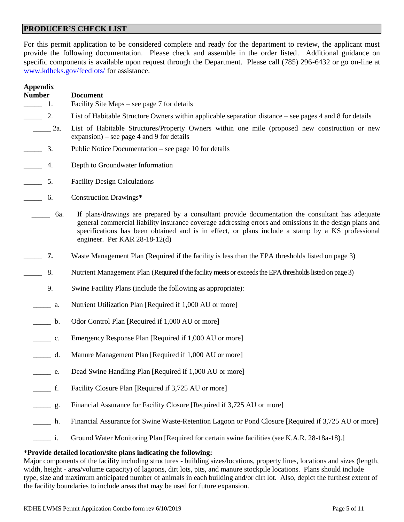#### **PRODUCER'S CHECK LIST**

For this permit application to be considered complete and ready for the department to review, the applicant must provide the following documentation. Please check and assemble in the order listed. Additional guidance on specific components is available upon request through the Department. Please call (785) 296-6432 or go on-line at [www.kdheks.gov/feedlots/](http://www.kdheks.gov/feedlots/) for assistance.

| <b>Appendix</b><br><b>Number</b>  | <b>Document</b>                                                                                                                                                                                                                                                                                                                                  |
|-----------------------------------|--------------------------------------------------------------------------------------------------------------------------------------------------------------------------------------------------------------------------------------------------------------------------------------------------------------------------------------------------|
| $\sim$ 1.                         | Facility Site Maps – see page 7 for details                                                                                                                                                                                                                                                                                                      |
| $\frac{2}{2}$                     | List of Habitable Structure Owners within applicable separation distance – see pages 4 and 8 for details                                                                                                                                                                                                                                         |
| 2a.                               | List of Habitable Structures/Property Owners within one mile (proposed new construction or new<br>$expansion)$ – see page 4 and 9 for details                                                                                                                                                                                                    |
| 3.<br>$\overline{a}$              | Public Notice Documentation – see page 10 for details                                                                                                                                                                                                                                                                                            |
| $\overline{\phantom{a}}$<br>4.    | Depth to Groundwater Information                                                                                                                                                                                                                                                                                                                 |
| $\overline{\phantom{a}}$<br>5.    | <b>Facility Design Calculations</b>                                                                                                                                                                                                                                                                                                              |
| $\overline{\phantom{a}}$<br>6.    | Construction Drawings*                                                                                                                                                                                                                                                                                                                           |
| 6a.                               | If plans/drawings are prepared by a consultant provide documentation the consultant has adequate<br>general commercial liability insurance coverage addressing errors and omissions in the design plans and<br>specifications has been obtained and is in effect, or plans include a stamp by a KS professional<br>engineer. Per KAR 28-18-12(d) |
| 7.                                | Waste Management Plan (Required if the facility is less than the EPA thresholds listed on page 3)                                                                                                                                                                                                                                                |
| 8.                                | Nutrient Management Plan (Required if the facility meets or exceeds the EPA thresholds listed on page 3)                                                                                                                                                                                                                                         |
| 9.                                | Swine Facility Plans (include the following as appropriate):                                                                                                                                                                                                                                                                                     |
| a.<br>$\mathcal{L} = \mathcal{L}$ | Nutrient Utilization Plan [Required if 1,000 AU or more]                                                                                                                                                                                                                                                                                         |
| $\frac{a}{b}$ .                   | Odor Control Plan [Required if 1,000 AU or more]                                                                                                                                                                                                                                                                                                 |
| $\qquad c.$                       | Emergency Response Plan [Required if 1,000 AU or more]                                                                                                                                                                                                                                                                                           |
| d.                                | Manure Management Plan [Required if 1,000 AU or more]                                                                                                                                                                                                                                                                                            |
| e.                                | Dead Swine Handling Plan [Required if 1,000 AU or more]                                                                                                                                                                                                                                                                                          |
| f.                                | Facility Closure Plan [Required if 3,725 AU or more]                                                                                                                                                                                                                                                                                             |
| $\qquad \qquad \qquad 9.$         | Financial Assurance for Facility Closure [Required if 3,725 AU or more]                                                                                                                                                                                                                                                                          |
| h.                                | Financial Assurance for Swine Waste-Retention Lagoon or Pond Closure [Required if 3,725 AU or more]                                                                                                                                                                                                                                              |
| i.                                | Ground Water Monitoring Plan [Required for certain swine facilities (see K.A.R. 28-18a-18).]                                                                                                                                                                                                                                                     |

#### \***Provide detailed location/site plans indicating the following:**

Major components of the facility including structures - building sizes/locations, property lines, locations and sizes (length, width, height - area/volume capacity) of lagoons, dirt lots, pits, and manure stockpile locations. Plans should include type, size and maximum anticipated number of animals in each building and/or dirt lot. Also, depict the furthest extent of the facility boundaries to include areas that may be used for future expansion.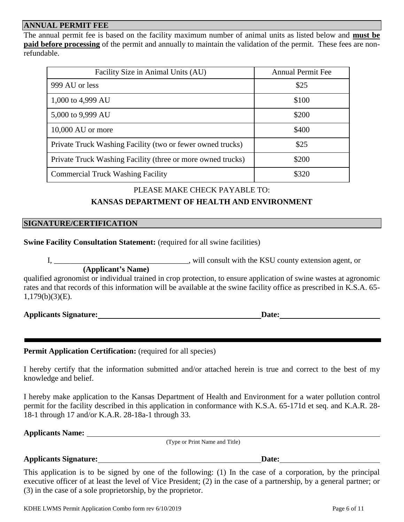#### **ANNUAL PERMIT FEE**

The annual permit fee is based on the facility maximum number of animal units as listed below and **must be paid before processing** of the permit and annually to maintain the validation of the permit. These fees are nonrefundable.

| Facility Size in Animal Units (AU)                          | <b>Annual Permit Fee</b> |
|-------------------------------------------------------------|--------------------------|
| 999 AU or less                                              | \$25                     |
| 1,000 to 4,999 AU                                           | \$100                    |
| 5,000 to 9,999 AU                                           | \$200                    |
| 10,000 AU or more                                           | \$400                    |
| Private Truck Washing Facility (two or fewer owned trucks)  | \$25                     |
| Private Truck Washing Facility (three or more owned trucks) | \$200                    |
| <b>Commercial Truck Washing Facility</b>                    | \$320                    |

#### PLEASE MAKE CHECK PAYABLE TO:

#### **KANSAS DEPARTMENT OF HEALTH AND ENVIRONMENT**

#### **SIGNATURE/CERTIFICATION**

#### **Swine Facility Consultation Statement:** (required for all swine facilities)

I, will consult with the KSU county extension agent, or

 **(Applicant's Name)** qualified agronomist or individual trained in crop protection, to ensure application of swine wastes at agronomic rates and that records of this information will be available at the swine facility office as prescribed in K.S.A. 65- 1,179(b)(3)(E).

| <b>Applicants Signature:</b> | <b>Date:</b> |
|------------------------------|--------------|
|                              |              |

#### Permit Application Certification: (required for all species)

I hereby certify that the information submitted and/or attached herein is true and correct to the best of my knowledge and belief.

I hereby make application to the Kansas Department of Health and Environment for a water pollution control permit for the facility described in this application in conformance with K.S.A. 65-171d et seq. and K.A.R. 28- 18-1 through 17 and/or K.A.R. 28-18a-1 through 33.

**Applicants Name:**

(Type or Print Name and Title)

#### **Applicants Signature:** <u>Date:</u> **Date: Date: Date: Date: Date: Date: Date: Date: Date: Date: Date: Date: Date: Date: Date: Date: Date: Date: Date: Date: Date: Date: Date: Date:**

This application is to be signed by one of the following: (1) In the case of a corporation, by the principal executive officer of at least the level of Vice President; (2) in the case of a partnership, by a general partner; or (3) in the case of a sole proprietorship, by the proprietor.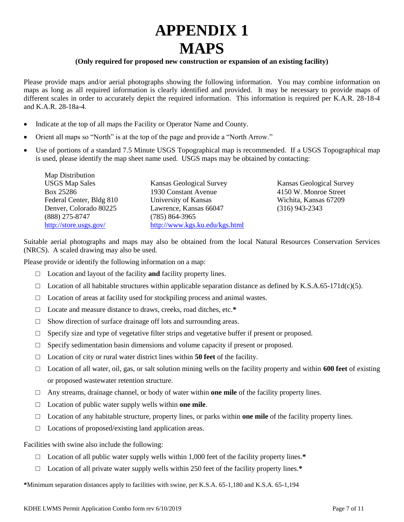# **APPENDIX 1 MAPS**

#### **(Only required for proposed new construction or expansion of an existing facility)**

Please provide maps and/or aerial photographs showing the following information. You may combine information on maps as long as all required information is clearly identified and provided. It may be necessary to provide maps of different scales in order to accurately depict the required information. This information is required per K.A.R. 28-18-4 and K.A.R. 28-18a-4.

- Indicate at the top of all maps the Facility or Operator Name and County.
- Orient all maps so "North" is at the top of the page and provide a "North Arrow."
- Use of portions of a standard 7.5 Minute USGS Topographical map is recommended. If a USGS Topographical map is used, please identify the map sheet name used. USGS maps may be obtained by contacting:

Map Distribution USGS Map Sales Box 25286 Federal Center, Bldg 810 Denver, Colorado 80225 (888) 275-8747 <http://store.usgs.gov/>

Kansas Geological Survey 1930 Constant Avenue University of Kansas Lawrence, Kansas 66047 (785) 864-3965 <http://www.kgs.ku.edu/kgs.html>

Kansas Geological Survey 4150 W. Monroe Street Wichita, Kansas 67209 (316) 943-2343

Suitable aerial photographs and maps may also be obtained from the local Natural Resources Conservation Services (NRCS). A scaled drawing may also be used.

Please provide or identify the following information on a map:

- □ Location and layout of the facility **and** facility property lines.
- $\Box$  Location of all habitable structures within applicable separation distance as defined by K.S.A.65-171d(c)(5).
- $\Box$  Location of areas at facility used for stockpiling process and animal wastes.
- □ Locate and measure distance to draws, creeks, road ditches, etc.**\***
- $\Box$  Show direction of surface drainage off lots and surrounding areas.
- $\Box$  Specify size and type of vegetative filter strips and vegetative buffer if present or proposed.
- $\Box$  Specify sedimentation basin dimensions and volume capacity if present or proposed.
- □ Location of city or rural water district lines within **50 feet** of the facility.
- □ Location of all water, oil, gas, or salt solution mining wells on the facility property and within **600 feet** of existing or proposed wastewater retention structure.
- □ Any streams, drainage channel, or body of water within **one mile** of the facility property lines.
- □ Location of public water supply wells within **one mile**.
- □ Location of any habitable structure, property lines, or parks within **one mile** of the facility property lines.
- $\Box$  Locations of proposed/existing land application areas.

Facilities with swine also include the following:

- □ Location of all public water supply wells within 1,000 feet of the facility property lines.**\***
- □ Location of all private water supply wells within 250 feet of the facility property lines.**\***

**\***Minimum separation distances apply to facilities with swine, per K.S.A. 65-1,180 and K.S.A. 65-1,194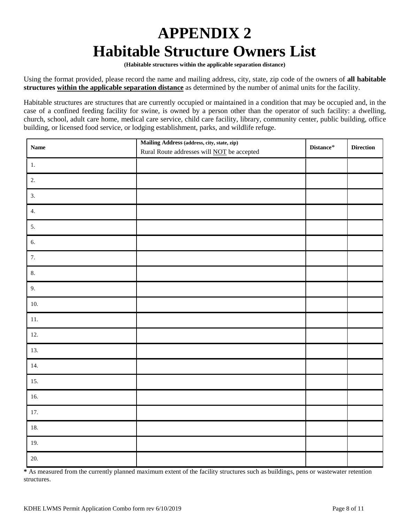# **APPENDIX 2 Habitable Structure Owners List**

**(Habitable structures within the applicable separation distance)**

Using the format provided, please record the name and mailing address, city, state, zip code of the owners of **all habitable structures within the applicable separation distance** as determined by the number of animal units for the facility.

Habitable structures are structures that are currently occupied or maintained in a condition that may be occupied and, in the case of a confined feeding facility for swine, is owned by a person other than the operator of such facility: a dwelling, church, school, adult care home, medical care service, child care facility, library, community center, public building, office building, or licensed food service, or lodging establishment, parks, and wildlife refuge.

| <b>Name</b> | Mailing Address (address, city, state, zip)<br>Rural Route addresses will <b>NOT</b> be accepted | $\mathbf{Distance}^*$ | <b>Direction</b> |
|-------------|--------------------------------------------------------------------------------------------------|-----------------------|------------------|
| $1.$        |                                                                                                  |                       |                  |
| 2.          |                                                                                                  |                       |                  |
| 3.          |                                                                                                  |                       |                  |
| 4.          |                                                                                                  |                       |                  |
| 5.          |                                                                                                  |                       |                  |
| 6.          |                                                                                                  |                       |                  |
| 7.          |                                                                                                  |                       |                  |
| 8.          |                                                                                                  |                       |                  |
| 9.          |                                                                                                  |                       |                  |
| 10.         |                                                                                                  |                       |                  |
| $11. \,$    |                                                                                                  |                       |                  |
| 12.         |                                                                                                  |                       |                  |
| 13.         |                                                                                                  |                       |                  |
| 14.         |                                                                                                  |                       |                  |
| 15.         |                                                                                                  |                       |                  |
| 16.         |                                                                                                  |                       |                  |
| 17.         |                                                                                                  |                       |                  |
| 18.         |                                                                                                  |                       |                  |
| 19.         |                                                                                                  |                       |                  |
| 20.         |                                                                                                  |                       |                  |

**\*** As measured from the currently planned maximum extent of the facility structures such as buildings, pens or wastewater retention structures.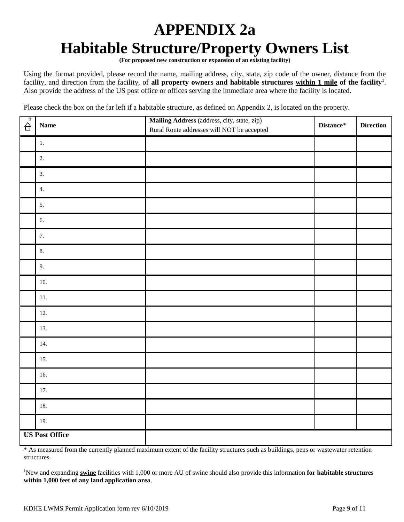# **APPENDIX 2a Habitable Structure/Property Owners List**

**(For proposed new construction or expansion of an existing facility)**

Using the format provided, please record the name, mailing address, city, state, zip code of the owner, distance from the facility, and direction from the facility, of **all property owners and habitable structures within 1 mile of the facility<sup>1</sup>** . Also provide the address of the US post office or offices serving the immediate area where the facility is located.

Please check the box on the far left if a habitable structure, as defined on Appendix 2, is located on the property.

| $\overrightarrow{A}$  | <b>Name</b> | Mailing Address (address, city, state, zip)<br>Rural Route addresses will <b>NOT</b> be accepted | Distance* | <b>Direction</b> |
|-----------------------|-------------|--------------------------------------------------------------------------------------------------|-----------|------------------|
|                       | 1.          |                                                                                                  |           |                  |
|                       | 2.          |                                                                                                  |           |                  |
|                       | 3.          |                                                                                                  |           |                  |
|                       | 4.          |                                                                                                  |           |                  |
|                       | 5.          |                                                                                                  |           |                  |
|                       | 6.          |                                                                                                  |           |                  |
|                       | 7.          |                                                                                                  |           |                  |
|                       | 8.          |                                                                                                  |           |                  |
|                       | 9.          |                                                                                                  |           |                  |
|                       | 10.         |                                                                                                  |           |                  |
|                       | $11. \,$    |                                                                                                  |           |                  |
|                       | 12.         |                                                                                                  |           |                  |
|                       | 13.         |                                                                                                  |           |                  |
|                       | 14.         |                                                                                                  |           |                  |
|                       | 15.         |                                                                                                  |           |                  |
|                       | 16.         |                                                                                                  |           |                  |
|                       | 17.         |                                                                                                  |           |                  |
|                       | 18.         |                                                                                                  |           |                  |
|                       | 19.         |                                                                                                  |           |                  |
| <b>US Post Office</b> |             |                                                                                                  |           |                  |

\* As measured from the currently planned maximum extent of the facility structures such as buildings, pens or wastewater retention structures.

**<sup>1</sup>**New and expanding **swine** facilities with 1,000 or more AU of swine should also provide this information **for habitable structures within 1,000 feet of any land application area**.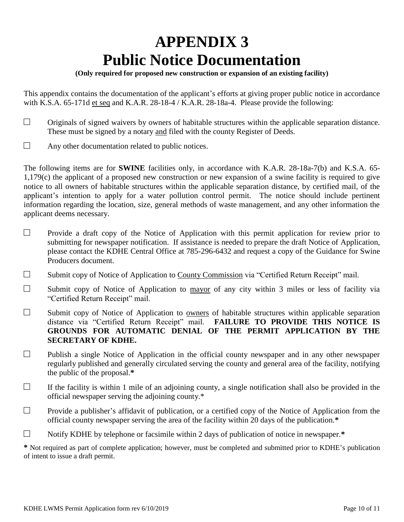# **APPENDIX 3 Public Notice Documentation**

#### **(Only required for proposed new construction or expansion of an existing facility)**

This appendix contains the documentation of the applicant's efforts at giving proper public notice in accordance with K.S.A. 65-171d et seq and K.A.R. 28-18-4 / K.A.R. 28-18a-4. Please provide the following:

- $\Box$  Originals of signed waivers by owners of habitable structures within the applicable separation distance. These must be signed by a notary and filed with the county Register of Deeds.
- $\Box$  Any other documentation related to public notices.

The following items are for **SWINE** facilities only, in accordance with K.A.R. 28-18a-7(b) and K.S.A. 65- 1,179(c) the applicant of a proposed new construction or new expansion of a swine facility is required to give notice to all owners of habitable structures within the applicable separation distance, by certified mail, of the applicant's intention to apply for a water pollution control permit. The notice should include pertinent information regarding the location, size, general methods of waste management, and any other information the applicant deems necessary.

- $\Box$  Provide a draft copy of the Notice of Application with this permit application for review prior to submitting for newspaper notification. If assistance is needed to prepare the draft Notice of Application, please contact the KDHE Central Office at 785-296-6432 and request a copy of the Guidance for Swine Producers document.
- $\Box$  Submit copy of Notice of Application to County Commission via "Certified Return Receipt" mail.
- $\square$  Submit copy of Notice of Application to mayor of any city within 3 miles or less of facility via "Certified Return Receipt" mail.
- $\Box$  Submit copy of Notice of Application to owners of habitable structures within applicable separation distance via "Certified Return Receipt" mail. **FAILURE TO PROVIDE THIS NOTICE IS GROUNDS FOR AUTOMATIC DENIAL OF THE PERMIT APPLICATION BY THE SECRETARY OF KDHE.**
- $\Box$  Publish a single Notice of Application in the official county newspaper and in any other newspaper regularly published and generally circulated serving the county and general area of the facility, notifying the public of the proposal.**\***
- $\Box$  If the facility is within 1 mile of an adjoining county, a single notification shall also be provided in the official newspaper serving the adjoining county.\*
- $\Box$  Provide a publisher's affidavit of publication, or a certified copy of the Notice of Application from the official county newspaper serving the area of the facility within 20 days of the publication.**\***
- □ Notify KDHE by telephone or facsimile within 2 days of publication of notice in newspaper.**\***

**\*** Not required as part of complete application; however, must be completed and submitted prior to KDHE's publication of intent to issue a draft permit.